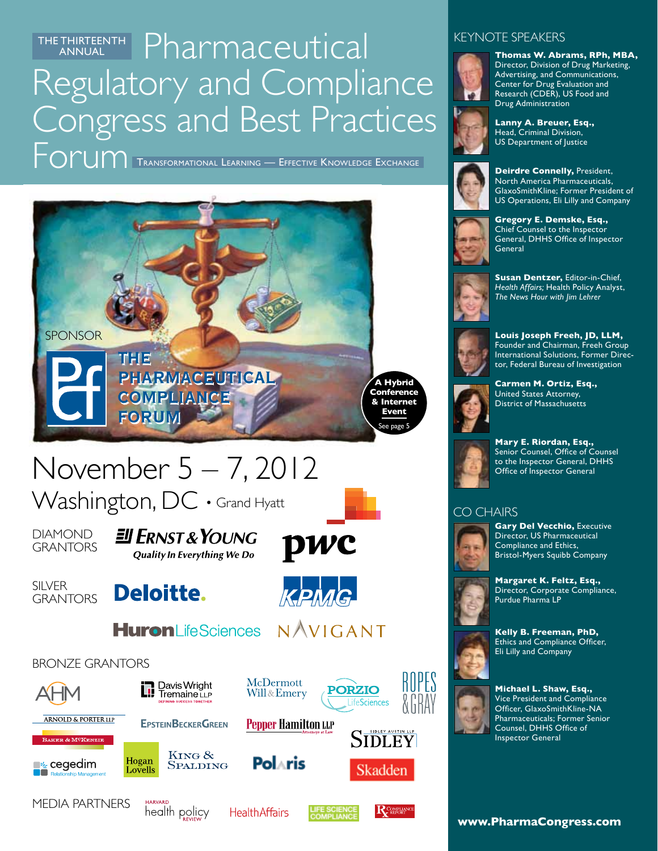THE THIRTEENTH Pharmaceutical Regulatory and Compliance Congress and Best Practices ANNUAL

Forum Transformational Learning — Effective Knowledge Exchange



# November 5 – 7, 2012

Washington, DC · Grand Hyatt

**Deloitte.** 

**DIAMOND GRANTORS** 

**SILVER GRANTORS**  EU ERNST & YOUNG **Quality In Everything We Do** 

pwc



**Huron**LifeSciences NAVIGANT











McDermott

Will & Emery





# **Kelly B. Freeman, PhD,**



Ethics and Compliance Officer, Eli Lilly and Company

**Michael L. Shaw, Esq.,**  Vice President and Compliance Officer, GlaxoSmithKline-NA Pharmaceuticals; Former Senior Counsel, DHHS Office of Inspector General

KEYNOTE SPEAKERS



**Thomas W. Abrams, RPh, MBA,**  Director, Division of Drug Marketing, Advertising, and Communications, Center for Drug Evaluation and Research (CDER), US Food and Drug Administration

**Lanny A. Breuer, Esq.,**  Head, Criminal Division, US Department of Justice



**Deirdre Connelly,** President, North America Pharmaceuticals, GlaxoSmithKline; Former President of US Operations, Eli Lilly and Company



**Gregory E. Demske, Esq.,**  Chief Counsel to the Inspector General, DHHS Office of Inspector General



**Susan Dentzer,** Editor-in-Chief, *Health Affairs;* Health Policy Analyst, *The News Hour with Jim Lehrer*



**Louis Joseph Freeh, JD, LLM,**  Founder and Chairman, Freeh Group International Solutions, Former Director, Federal Bureau of Investigation



**Carmen M. Ortiz, Esq.,**  United States Attorney, District of Massachusetts



**Mary E. Riordan, Esq.,**  Senior Counsel, Office of Counsel to the Inspector General, DHHS Office of Inspector General

#### CO CHAIRS



**Gary Del Vecchio,** Executive Director, US Pharmaceutical Compliance and Ethics, Bristol-Myers Squibb Company



**www.PharmaCongress.com**

Media Partners



**Health Affairs** 





ROPES

Skadden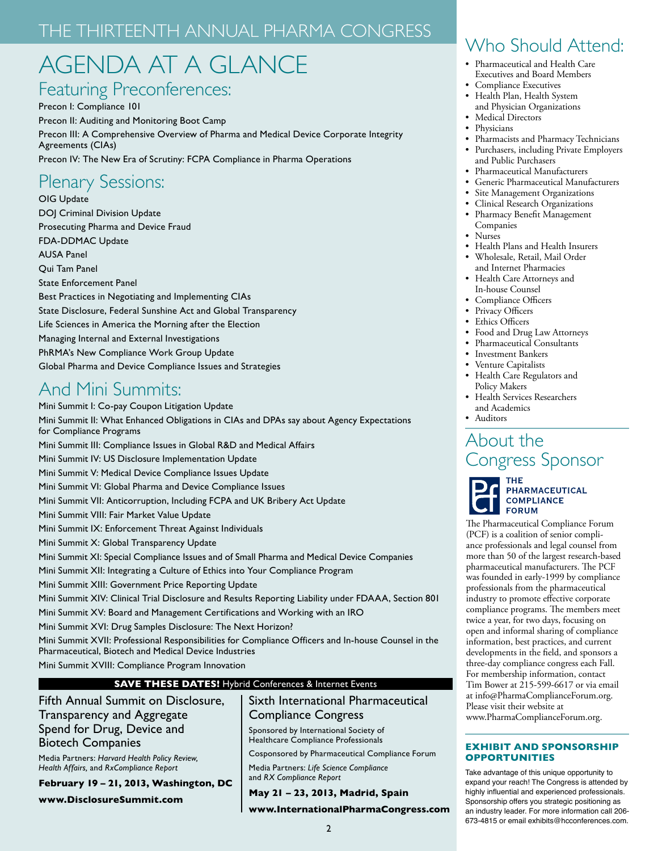## The Thirteenth ANNUAL Pharma Congress

## AGENDA AT A GLANCE

## Featuring Preconferences:

Precon I: Compliance 101 Precon II: Auditing and Monitoring Boot Camp Precon III: A Comprehensive Overview of Pharma and Medical Device Corporate Integrity Agreements (CIAs) Precon IV: The New Era of Scrutiny: FCPA Compliance in Pharma Operations

## Plenary Sessions:

OIG Update DOJ Criminal Division Update Prosecuting Pharma and Device Fraud FDA-DDMAC Update AUSA Panel Qui Tam Panel State Enforcement Panel Best Practices in Negotiating and Implementing CIAs State Disclosure, Federal Sunshine Act and Global Transparency Life Sciences in America the Morning after the Election Managing Internal and External Investigations PhRMA's New Compliance Work Group Update Global Pharma and Device Compliance Issues and Strategies

## And Mini Summits:

Mini Summit I: Co-pay Coupon Litigation Update Mini Summit II: What Enhanced Obligations in CIAs and DPAs say about Agency Expectations for Compliance Programs Mini Summit III: Compliance Issues in Global R&D and Medical Affairs Mini Summit IV: US Disclosure Implementation Update Mini Summit V: Medical Device Compliance Issues Update Mini Summit VI: Global Pharma and Device Compliance Issues Mini Summit VII: Anticorruption, Including FCPA and UK Bribery Act Update Mini Summit VIII: Fair Market Value Update Mini Summit IX: Enforcement Threat Against Individuals Mini Summit X: Global Transparency Update Mini Summit XI: Special Compliance Issues and of Small Pharma and Medical Device Companies Mini Summit XII: Integrating a Culture of Ethics into Your Compliance Program Mini Summit XIII: Government Price Reporting Update Mini Summit XIV: Clinical Trial Disclosure and Results Reporting Liability under FDAAA, Section 801 Mini Summit XV: Board and Management Certifications and Working with an IRO Mini Summit XVI: Drug Samples Disclosure: The Next Horizon? Mini Summit XVII: Professional Responsibilities for Compliance Officers and In-house Counsel in the Pharmaceutical, Biotech and Medical Device Industries

Mini Summit XVIII: Compliance Program Innovation

#### **SAVE THESE DATES!** Hybrid Conferences & Internet Events

Fifth Annual Summit on Disclosure, Transparency and Aggregate Spend for Drug, Device and Biotech Companies

Media Partners: *Harvard Health Policy Review, Health Affairs,* and *RxCompliance Report*

**February 19 – 21, 2013, Washington, DC www.DisclosureSummit.com** 

#### Sixth International Pharmaceutical Compliance Congress

Sponsored by International Society of Healthcare Compliance Professionals

Cosponsored by Pharmaceutical Compliance Forum

Media Partners: *Life Science Compliance*  and *RX Compliance Report*

#### **May 21 – 23, 2013, Madrid, Spain**

**www.InternationalPharmaCongress.com**

## Who Should Attend:

- • Pharmaceutical and Health Care Executives and Board Members
- Compliance Executives
- • Health Plan, Health System and Physician Organizations
- Medical Directors
- **Physicians**
- Pharmacists and Pharmacy Technicians Purchasers, including Private Employers and Public Purchasers
- Pharmaceutical Manufacturers
- Generic Pharmaceutical Manufacturers
- Site Management Organizations
- Clinical Research Organizations
- Pharmacy Benefit Management Companies
- Nurses
- • Health Plans and Health Insurers
- Wholesale, Retail, Mail Order and Internet Pharmacies
- • Health Care Attorneys and In-house Counsel
- • Compliance Officers
- Privacy Officers
- Ethics Officers
- • Food and Drug Law Attorneys
- Pharmaceutical Consultants
- • Investment Bankers
- • Venture Capitalists
- • Health Care Regulators and Policy Makers
- **Health Services Researchers**  and Academics
- • Auditors

## About the Congress Sponsor



PHARMACEUTICAL **COMPLIANCE FORUM** 

The Pharmaceutical Compliance Forum (PCF) is a coalition of senior compliance professionals and legal counsel from more than 50 of the largest research-based pharmaceutical manufacturers. The PCF was founded in early-1999 by compliance professionals from the pharmaceutical industry to promote effective corporate compliance programs. The members meet twice a year, for two days, focusing on open and informal sharing of compliance information, best practices, and current developments in the field, and sponsors a three-day compliance congress each Fall. For membership information, contact Tim Bower at 215-599-6617 or via email at info@PharmaComplianceForum.org. Please visit their website at www.PharmaComplianceForum.org.

#### **EXHIBIT AND SPONSORSHIP OPPORTUNITIES**

Take advantage of this unique opportunity to expand your reach! The Congress is attended by highly influential and experienced professionals. Sponsorship offers you strategic positioning as an industry leader. For more information call 206- 673-4815 or email exhibits@hcconferences.com.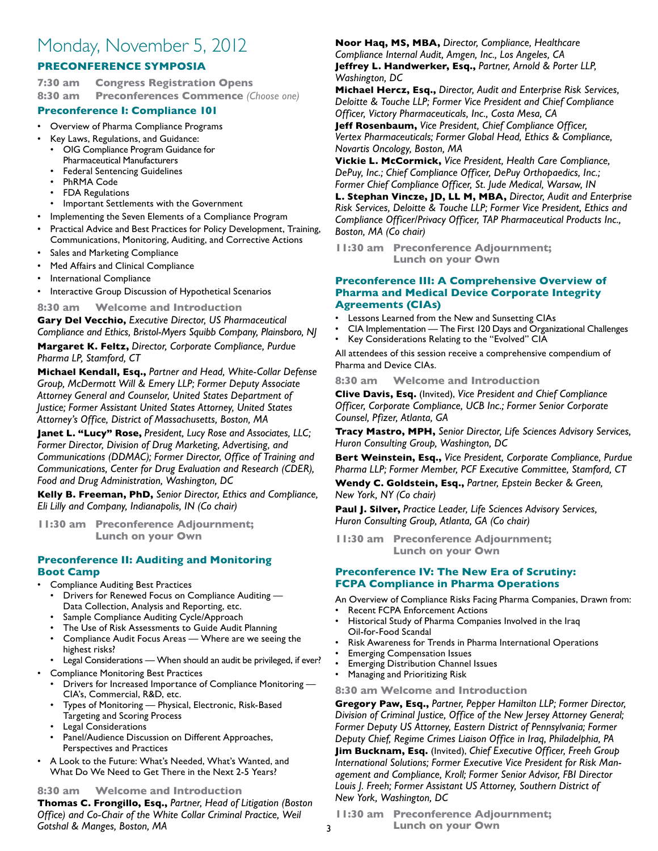## Monday, November 5, 2012

#### **PRECONFERENCE SYMPOSIA**

**7:30 am Congress Registration Opens 8:30 am Preconferences Commence** *(Choose one)*

#### **Preconference I: Compliance 101**

- Overview of Pharma Compliance Programs
- Key Laws, Regulations, and Guidance:
- OIG Compliance Program Guidance for Pharmaceutical Manufacturers
- Federal Sentencing Guidelines
- PhRMA Code
- FDA Regulations
- Important Settlements with the Government
- Implementing the Seven Elements of a Compliance Program
- Practical Advice and Best Practices for Policy Development, Training, Communications, Monitoring, Auditing, and Corrective Actions
- Sales and Marketing Compliance
- Med Affairs and Clinical Compliance
- International Compliance
- Interactive Group Discussion of Hypothetical Scenarios

**8:30 am Welcome and Introduction** 

**Gary Del Vecchio,** *Executive Director, US Pharmaceutical Compliance and Ethics, Bristol-Myers Squibb Company, Plainsboro, NJ*

**Margaret K. Feltz,** *Director, Corporate Compliance, Purdue Pharma LP, Stamford, CT*

**Michael Kendall, Esq.,** *Partner and Head, White-Collar Defense Group, McDermott Will & Emery LLP; Former Deputy Associate Attorney General and Counselor, United States Department of Justice; Former Assistant United States Attorney, United States Attorney's Office, District of Massachusetts, Boston, MA*

**Janet L. "Lucy" Rose,** *President, Lucy Rose and Associates, LLC; Former Director, Division of Drug Marketing, Advertising, and Communications (DDMAC); Former Director, Office of Training and Communications, Center for Drug Evaluation and Research (CDER), Food and Drug Administration, Washington, DC*

**Kelly B. Freeman, PhD,** *Senior Director, Ethics and Compliance, Eli Lilly and Company, Indianapolis, IN (Co chair)*

**11:30 am Preconference Adjournment; Lunch on your Own**

#### **Preconference II: Auditing and Monitoring Boot Camp**

- Compliance Auditing Best Practices
	- Drivers for Renewed Focus on Compliance Auditing Data Collection, Analysis and Reporting, etc.
	- Sample Compliance Auditing Cycle/Approach
	- The Use of Risk Assessments to Guide Audit Planning
	- Compliance Audit Focus Areas Where are we seeing the highest risks?
	- Legal Considerations When should an audit be privileged, if ever?
- Compliance Monitoring Best Practices
	- Drivers for Increased Importance of Compliance Monitoring CIA's, Commercial, R&D, etc.
	- Types of Monitoring Physical, Electronic, Risk-Based Targeting and Scoring Process
	- Legal Considerations
	- Panel/Audience Discussion on Different Approaches, Perspectives and Practices
- A Look to the Future: What's Needed, What's Wanted, and What Do We Need to Get There in the Next 2-5 Years?

#### **8:30 am Welcome and Introduction**

**Thomas C. Frongillo, Esq.,** *Partner, Head of Litigation (Boston Office) and Co-Chair of the White Collar Criminal Practice, Weil Gotshal & Manges, Boston, MA*

**Noor Haq, MS, MBA,** *Director, Compliance, Healthcare* 

*Compliance Internal Audit, Amgen, Inc., Los Angeles, CA* **Jeffrey L. Handwerker, Esq.,** *Partner, Arnold & Porter LLP, Washington, DC*

**Michael Hercz, Esq.,** *Director, Audit and Enterprise Risk Services, Deloitte & Touche LLP; Former Vice President and Chief Compliance Officer, Victory Pharmaceuticals, Inc., Costa Mesa, CA*

**Jeff Rosenbaum,** *Vice President, Chief Compliance Officer, Vertex Pharmaceuticals; Former Global Head, Ethics & Compliance, Novartis Oncology, Boston, MA*

**Vickie L. McCormick,** *Vice President, Health Care Compliance, DePuy, Inc.; Chief Compliance Officer, DePuy Orthopaedics, Inc.; Former Chief Compliance Officer, St. Jude Medical, Warsaw, IN*

**L. Stephan Vincze, JD, LL M, MBA,** *Director, Audit and Enterprise Risk Services, Deloitte & Touche LLP; Former Vice President, Ethics and Compliance Officer/Privacy Officer, TAP Pharmaceutical Products Inc., Boston, MA (Co chair)*

**11:30 am Preconference Adjournment; Lunch on your Own**

#### **Preconference III: A Comprehensive Overview of Pharma and Medical Device Corporate Integrity Agreements (CIAs)**

- Lessons Learned from the New and Sunsetting CIAs
- CIA Implementation The First 120 Days and Organizational Challenges
- Key Considerations Relating to the "Evolved" CIA

All attendees of this session receive a comprehensive compendium of Pharma and Device CIAs.

**8:30 am Welcome and Introduction**

**Clive Davis, Esq.** (Invited), *Vice President and Chief Compliance Officer, Corporate Compliance, UCB Inc.; Former Senior Corporate Counsel, Pfizer, Atlanta, GA*

**Tracy Mastro, MPH,** *Senior Director, Life Sciences Advisory Services, Huron Consulting Group, Washington, DC*

**Bert Weinstein, Esq.,** *Vice President, Corporate Compliance, Purdue Pharma LLP; Former Member, PCF Executive Committee, Stamford, CT*

**Wendy C. Goldstein, Esq.,** *Partner, Epstein Becker & Green, New York, NY (Co chair)*

**Paul J. Silver,** *Practice Leader, Life Sciences Advisory Services, Huron Consulting Group, Atlanta, GA (Co chair)*

**11:30 am Preconference Adjournment; Lunch on your Own**

#### **Preconference IV: The New Era of Scrutiny: FCPA Compliance in Pharma Operations**

- An Overview of Compliance Risks Facing Pharma Companies, Drawn from:
- **Recent FCPA Enforcement Actions**
- Historical Study of Pharma Companies Involved in the Iraq Oil-for-Food Scandal
- Risk Awareness for Trends in Pharma International Operations
- Emerging Compensation Issues
- Emerging Distribution Channel Issues
- Managing and Prioritizing Risk
- **8:30 am Welcome and Introduction**

**Gregory Paw, Esq.,** *Partner, Pepper Hamilton LLP; Former Director, Division of Criminal Justice, Office of the New Jersey Attorney General; Former Deputy US Attorney, Eastern District of Pennsylvania; Former Deputy Chief, Regime Crimes Liaison Office in Iraq, Philadelphia, PA* **Jim Bucknam, Esq.** (Invited), *Chief Executive Officer, Freeh Group International Solutions; Former Executive Vice President for Risk Management and Compliance, Kroll; Former Senior Advisor, FBI Director Louis J. Freeh; Former Assistant US Attorney, Southern District of New York, Washington, DC*

**11:30 am Preconference Adjournment; Lunch on your Own**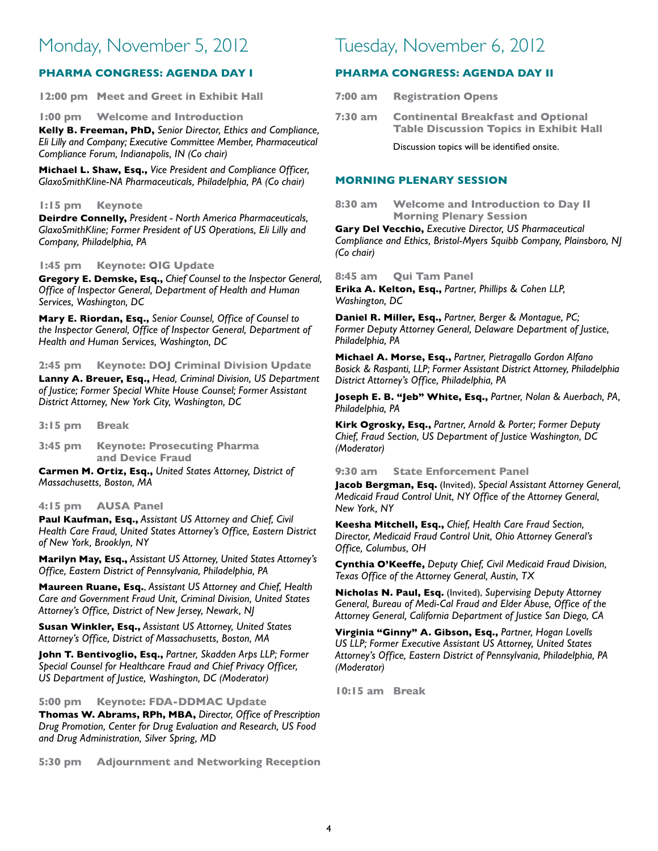## Monday, November 5, 2012

#### **PHARMA CONGRESS: AGENDA DAY I**

**12:00 pm Meet and Greet in Exhibit Hall** 

**1:00 pm Welcome and Introduction**

**Kelly B. Freeman, PhD,** *Senior Director, Ethics and Compliance, Eli Lilly and Company; Executive Committee Member, Pharmaceutical Compliance Forum, Indianapolis, IN (Co chair)*

**Michael L. Shaw, Esq.,** *Vice President and Compliance Officer, GlaxoSmithKline-NA Pharmaceuticals, Philadelphia, PA (Co chair)*

#### **1:15 pm Keynote**

**Deirdre Connelly,** *President - North America Pharmaceuticals, GlaxoSmithKline; Former President of US Operations, Eli Lilly and Company, Philadelphia, PA*

#### **1:45 pm Keynote: OIG Update**

**Gregory E. Demske, Esq.,** *Chief Counsel to the Inspector General, Office of Inspector General, Department of Health and Human Services, Washington, DC*

**Mary E. Riordan, Esq.,** *Senior Counsel, Office of Counsel to the Inspector General, Office of Inspector General, Department of Health and Human Services, Washington, DC*

#### **2:45 pm Keynote: DOJ Criminal Division Update**

**Lanny A. Breuer, Esq.,** *Head, Criminal Division, US Department of Justice; Former Special White House Counsel; Former Assistant District Attorney, New York City, Washington, DC*

**3:15 pm Break**

**3:45 pm Keynote: Prosecuting Pharma and Device Fraud**

**Carmen M. Ortiz, Esq.,** *United States Attorney, District of Massachusetts, Boston, MA*

#### **4:15 pm AUSA Panel**

**Paul Kaufman, Esq.,** *Assistant US Attorney and Chief, Civil Health Care Fraud, United States Attorney's Office, Eastern District of New York, Brooklyn, NY*

**Marilyn May, Esq.,** *Assistant US Attorney, United States Attorney's Office, Eastern District of Pennsylvania, Philadelphia, PA*

**Maureen Ruane, Esq.**, *Assistant US Attorney and Chief, Health Care and Government Fraud Unit, Criminal Division, United States Attorney's Office, District of New Jersey, Newark, NJ*

**Susan Winkler, Esq.,** *Assistant US Attorney, United States Attorney's Office, District of Massachusetts, Boston, MA*

**John T. Bentivoglio, Esq.,** *Partner, Skadden Arps LLP; Former Special Counsel for Healthcare Fraud and Chief Privacy Officer, US Department of Justice, Washington, DC (Moderator)*

**5:00 pm Keynote: FDA-DDMAC Update**

**Thomas W. Abrams, RPh, MBA,** *Director, Office of Prescription Drug Promotion, Center for Drug Evaluation and Research, US Food and Drug Administration, Silver Spring, MD*

**5:30 pm Adjournment and Networking Reception** 

### Tuesday, November 6, 2012

#### **PHARMA CONGRESS: AGENDA DAY II**

**7:00 am Registration Opens** 

**7:30 am Continental Breakfast and Optional Table Discussion Topics in Exhibit Hall**

Discussion topics will be identified onsite.

#### **MORNING PLENARY SESSION**

**8:30 am Welcome and Introduction to Day II Morning Plenary Session**

**Gary Del Vecchio,** *Executive Director, US Pharmaceutical Compliance and Ethics, Bristol-Myers Squibb Company, Plainsboro, NJ (Co chair)* 

**8:45 am Qui Tam Panel**

**Erika A. Kelton, Esq.,** *Partner, Phillips & Cohen LLP, Washington, DC*

**Daniel R. Miller, Esq.,** *Partner, Berger & Montague, PC; Former Deputy Attorney General, Delaware Department of Justice, Philadelphia, PA*

**Michael A. Morse, Esq.,** *Partner, Pietragallo Gordon Alfano Bosick & Raspanti, LLP; Former Assistant District Attorney, Philadelphia District Attorney's Office, Philadelphia, PA*

**Joseph E. B. "Jeb" White, Esq.,** *Partner, Nolan & Auerbach, PA, Philadelphia, PA*

**Kirk Ogrosky, Esq.,** *Partner, Arnold & Porter; Former Deputy Chief, Fraud Section, US Department of Justice Washington, DC (Moderator)*

#### **9:30 am State Enforcement Panel**

**Jacob Bergman, Esq.** (Invited), *Special Assistant Attorney General, Medicaid Fraud Control Unit, NY Office of the Attorney General, New York, NY*

**Keesha Mitchell, Esq.,** *Chief, Health Care Fraud Section, Director, Medicaid Fraud Control Unit, Ohio Attorney General's Office, Columbus, OH*

**Cynthia O'Keeffe,** *Deputy Chief, Civil Medicaid Fraud Division, Texas Office of the Attorney General, Austin, TX*

**Nicholas N. Paul, Esq.** (Invited), *Supervising Deputy Attorney General, Bureau of Medi-Cal Fraud and Elder Abuse, Office of the Attorney General, California Department of Justice San Diego, CA*

**Virginia "Ginny" A. Gibson, Esq.,** *Partner, Hogan Lovells US LLP; Former Executive Assistant US Attorney, United States Attorney's Office, Eastern District of Pennsylvania, Philadelphia, PA (Moderator)*

**10:15 am Break**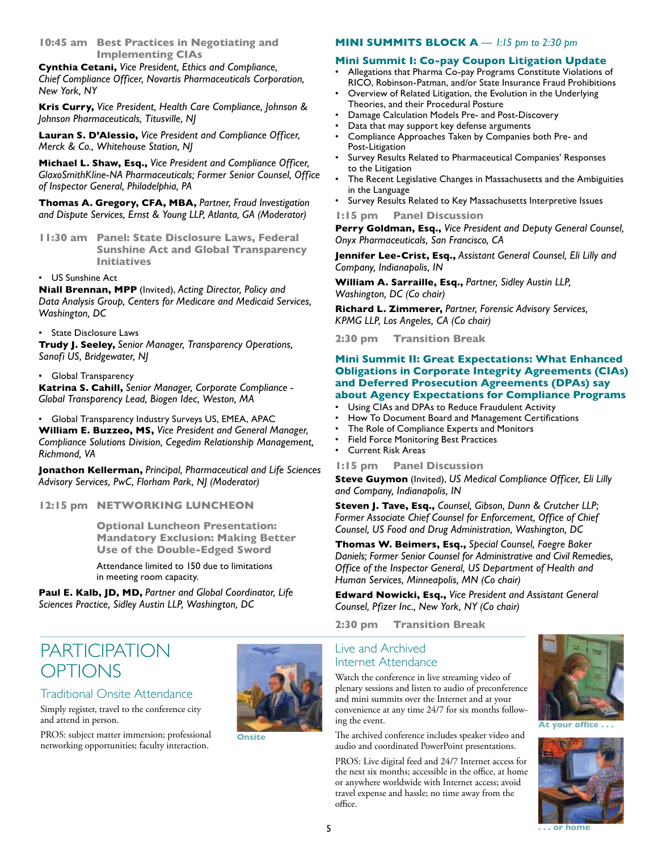**10:45 am Best Practices in Negotiating and Implementing CIAs**

**Cynthia Cetani,** *Vice President, Ethics and Compliance, Chief Compliance Officer, Novartis Pharmaceuticals Corporation, New York, NY*

**Kris Curry,** *Vice President, Health Care Compliance, Johnson & Johnson Pharmaceuticals, Titusville, NJ*

**Lauran S. D'Alessio,** *Vice President and Compliance Officer, Merck & Co., Whitehouse Station, NJ*

**Michael L. Shaw, Esq.,** *Vice President and Compliance Officer, GlaxoSmithKline-NA Pharmaceuticals; Former Senior Counsel, Office of Inspector General, Philadelphia, PA*

**Thomas A. Gregory, CFA, MBA,** *Partner, Fraud Investigation and Dispute Services, Ernst & Young LLP, Atlanta, GA (Moderator)*

- **11:30 am Panel: State Disclosure Laws, Federal Sunshine Act and Global Transparency Initiatives**
- US Sunshine Act

**Niall Brennan, MPP** (Invited), *Acting Director, Policy and Data Analysis Group, Centers for Medicare and Medicaid Services, Washington, DC*

• State Disclosure Laws

**Trudy J. Seeley,** *Senior Manager, Transparency Operations, Sanofi US, Bridgewater, NJ*

• Global Transparency

**Katrina S. Cahill,** *Senior Manager, Corporate Compliance - Global Transparency Lead, Biogen Idec, Weston, MA*

• Global Transparency Industry Surveys US, EMEA, APAC **William E. Buzzeo, MS,** *Vice President and General Manager, Compliance Solutions Division, Cegedim Relationship Management, Richmond, VA* 

**Jonathon Kellerman,** *Principal, Pharmaceutical and Life Sciences Advisory Services, PwC, Florham Park, NJ (Moderator)*

**12:15 pm NETWORKING LUNCHEON** 

 **Optional Luncheon Presentation: Mandatory Exclusion: Making Better Use of the Double-Edged Sword**

Attendance limited to 150 due to limitations in meeting room capacity.

**Paul E. Kalb, JD, MD,** *Partner and Global Coordinator, Life Sciences Practice, Sidley Austin LLP, Washington, DC*

## **PARTICIPATION OPTIONS**

#### Traditional Onsite Attendance

Simply register, travel to the conference city and attend in person.

PROS: subject matter immersion; professional networking opportunities; faculty interaction.



**Onsite** 

#### **MINI SUMMITS BLOCK A** *— 1:15 pm to 2:30 pm*

#### **Mini Summit I: Co-pay Coupon Litigation Update**

- Allegations that Pharma Co-pay Programs Constitute Violations of RICO, Robinson-Patman, and/or State Insurance Fraud Prohibitions
- Overview of Related Litigation, the Evolution in the Underlying Theories, and their Procedural Posture
- Damage Calculation Models Pre- and Post-Discovery
- Data that may support key defense arguments
- Compliance Approaches Taken by Companies both Pre- and Post-Litigation
- Survey Results Related to Pharmaceutical Companies' Responses to the Litigation
- The Recent Legislative Changes in Massachusetts and the Ambiguities in the Language
- Survey Results Related to Key Massachusetts Interpretive Issues

**1:15 pm Panel Discussion**

**Perry Goldman, Esq.,** *Vice President and Deputy General Counsel, Onyx Pharmaceuticals, San Francisco, CA*

**Jennifer Lee-Crist, Esq.,** *Assistant General Counsel, Eli Lilly and Company, Indianapolis, IN*

**William A. Sarraille, Esq.,** *Partner, Sidley Austin LLP, Washington, DC (Co chair)*

**Richard L. Zimmerer,** *Partner, Forensic Advisory Services, KPMG LLP, Los Angeles, CA (Co chair)*

**2:30 pm Transition Break**

#### **Mini Summit II: Great Expectations: What Enhanced Obligations in Corporate Integrity Agreements (CIAs) and Deferred Prosecution Agreements (DPAs) say about Agency Expectations for Compliance Programs**

- Using CIAs and DPAs to Reduce Fraudulent Activity
- How To Document Board and Management Certifications
- The Role of Compliance Experts and Monitors
- Field Force Monitoring Best Practices
- Current Risk Areas

#### **1:15 pm Panel Discussion**

**Steve Guymon** (Invited), *US Medical Compliance Officer, Eli Lilly and Company, Indianapolis, IN*

**Steven J. Tave, Esq.,** *Counsel, Gibson, Dunn & Crutcher LLP; Former Associate Chief Counsel for Enforcement, Office of Chief Counsel, US Food and Drug Administration, Washington, DC*

**Thomas W. Beimers, Esq.,** *Special Counsel, Faegre Baker Daniels; Former Senior Counsel for Administrative and Civil Remedies, Office of the Inspector General, US Department of Health and Human Services, Minneapolis, MN (Co chair)*

**Edward Nowicki, Esq.,** *Vice President and Assistant General Counsel, Pfizer Inc., New York, NY (Co chair)*

**2:30 pm Transition Break**

#### Live and Archived Internet Attendance

Watch the conference in live streaming video of plenary sessions and listen to audio of preconference and mini summits over the Internet and at your convenience at any time 24/7 for six months following the event.

The archived conference includes speaker video and audio and coordinated PowerPoint presentations.

PROS: Live digital feed and 24/7 Internet access for the next six months; accessible in the office, at home or anywhere worldwide with Internet access; avoid travel expense and hassle; no time away from the office.



**At your office . . .**

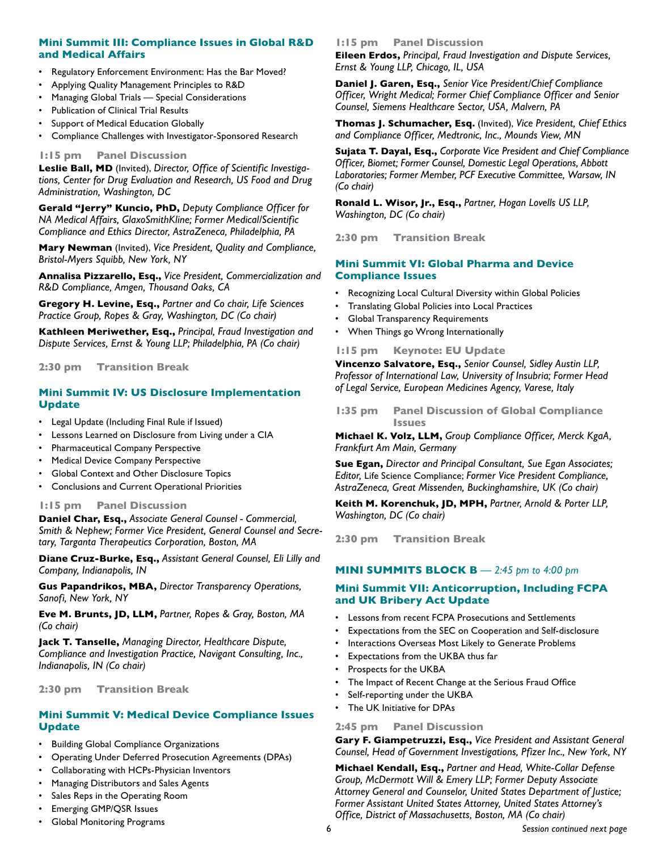#### **Mini Summit III: Compliance Issues in Global R&D and Medical Affairs**

- Regulatory Enforcement Environment: Has the Bar Moved?
- Applying Quality Management Principles to R&D
- Managing Global Trials Special Considerations
- Publication of Clinical Trial Results
- Support of Medical Education Globally
- Compliance Challenges with Investigator-Sponsored Research

#### **1:15 pm Panel Discussion**

**Leslie Ball, MD** (Invited), *Director, Office of Scientific Investigations, Center for Drug Evaluation and Research, US Food and Drug Administration, Washington, DC*

**Gerald "Jerry" Kuncio, PhD,** *Deputy Compliance Officer for NA Medical Affairs, GlaxoSmithKline; Former Medical/Scientific Compliance and Ethics Director, AstraZeneca, Philadelphia, PA*

**Mary Newman** (Invited), *Vice President, Quality and Compliance, Bristol-Myers Squibb, New York, NY*

**Annalisa Pizzarello, Esq.,** *Vice President, Commercialization and R&D Compliance, Amgen, Thousand Oaks, CA*

**Gregory H. Levine, Esq.,** *Partner and Co chair, Life Sciences Practice Group, Ropes & Gray, Washington, DC (Co chair)*

**Kathleen Meriwether, Esq.,** *Principal, Fraud Investigation and Dispute Services, Ernst & Young LLP; Philadelphia, PA (Co chair)*

**2:30 pm Transition Break**

#### **Mini Summit IV: US Disclosure Implementation Update**

- Legal Update (Including Final Rule if Issued)
- Lessons Learned on Disclosure from Living under a CIA
- Pharmaceutical Company Perspective
- Medical Device Company Perspective
- Global Context and Other Disclosure Topics
- Conclusions and Current Operational Priorities

#### **1:15 pm Panel Discussion**

**Daniel Char, Esq.,** *Associate General Counsel - Commercial, Smith & Nephew; Former Vice President, General Counsel and Secretary, Targanta Therapeutics Corporation, Boston, MA*

**Diane Cruz-Burke, Esq.,** *Assistant General Counsel, Eli Lilly and Company, Indianapolis, IN*

**Gus Papandrikos, MBA,** *Director Transparency Operations, Sanofi, New York, NY*

**Eve M. Brunts, JD, LLM,** *Partner, Ropes & Gray, Boston, MA (Co chair)*

**Jack T. Tanselle,** *Managing Director, Healthcare Dispute, Compliance and Investigation Practice, Navigant Consulting, Inc., Indianapolis, IN (Co chair)*

#### **2:30 pm Transition Break**

#### **Mini Summit V: Medical Device Compliance Issues Update**

- Building Global Compliance Organizations
- Operating Under Deferred Prosecution Agreements (DPAs)
- Collaborating with HCPs-Physician Inventors
- Managing Distributors and Sales Agents
- Sales Reps in the Operating Room
- Emerging GMP/QSR Issues
- Global Monitoring Programs

#### **1:15 pm Panel Discussion**

**Eileen Erdos,** *Principal, Fraud Investigation and Dispute Services, Ernst & Young LLP, Chicago, IL, USA*

**Daniel J. Garen, Esq.,** *Senior Vice President/Chief Compliance Officer, Wright Medical; Former Chief Compliance Officer and Senior Counsel, Siemens Healthcare Sector, USA, Malvern, PA*

**Thomas J. Schumacher, Esq.** (Invited), *Vice President, Chief Ethics and Compliance Officer, Medtronic, Inc., Mounds View, MN*

**Sujata T. Dayal, Esq.,** *Corporate Vice President and Chief Compliance Officer, Biomet; Former Counsel, Domestic Legal Operations, Abbott Laboratories; Former Member, PCF Executive Committee, Warsaw, IN (Co chair)*

**Ronald L. Wisor, Jr., Esq.,** *Partner, Hogan Lovells US LLP, Washington, DC (Co chair)*

**2:30 pm Transition Break**

#### **Mini Summit VI: Global Pharma and Device Compliance Issues**

- Recognizing Local Cultural Diversity within Global Policies
- Translating Global Policies into Local Practices
- Global Transparency Requirements
- When Things go Wrong Internationally

**1:15 pm Keynote: EU Update**

**Vincenzo Salvatore, Esq.,** *Senior Counsel, Sidley Austin LLP, Professor of International Law, University of Insubria; Former Head of Legal Service, European Medicines Agency, Varese, Italy*

**1:35 pm Panel Discussion of Global Compliance Issues**

**Michael K. Volz, LLM,** *Group Compliance Officer, Merck KgaA, Frankfurt Am Main, Germany*

**Sue Egan,** *Director and Principal Consultant, Sue Egan Associates; Editor,* Life Science Compliance; *Former Vice President Compliance, AstraZeneca, Great Missenden, Buckinghamshire, UK (Co chair)*

**Keith M. Korenchuk, JD, MPH,** *Partner, Arnold & Porter LLP, Washington, DC (Co chair)*

**2:30 pm Transition Break**

#### **MINI SUMMITS BLOCK B** *— 2:45 pm to 4:00 pm*

#### **Mini Summit VII: Anticorruption, Including FCPA and UK Bribery Act Update**

- Lessons from recent FCPA Prosecutions and Settlements
- Expectations from the SEC on Cooperation and Self-disclosure
- Interactions Overseas Most Likely to Generate Problems
- Expectations from the UKBA thus far
- Prospects for the UKBA
- The Impact of Recent Change at the Serious Fraud Office
- Self-reporting under the UKBA
- The UK Initiative for DPAs

**2:45 pm Panel Discussion**

**Gary F. Giampetruzzi, Esq.,** *Vice President and Assistant General Counsel, Head of Government Investigations, Pfizer Inc., New York, NY*

**Michael Kendall, Esq.,** *Partner and Head, White-Collar Defense Group, McDermott Will & Emery LLP; Former Deputy Associate Attorney General and Counselor, United States Department of Justice; Former Assistant United States Attorney, United States Attorney's Office, District of Massachusetts, Boston, MA (Co chair)*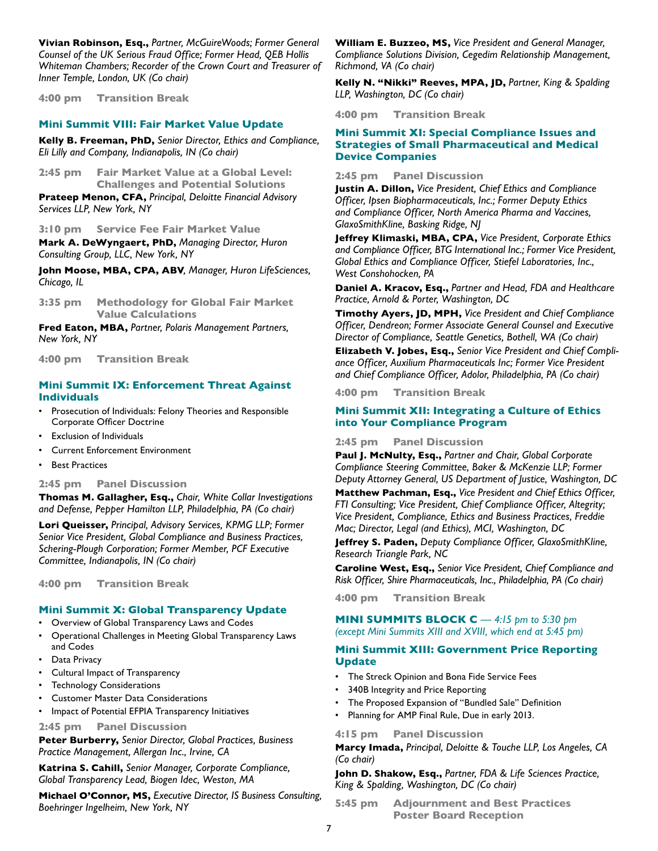**Vivian Robinson, Esq.,** *Partner, McGuireWoods; Former General Counsel of the UK Serious Fraud Office; Former Head, QEB Hollis Whiteman Chambers; Recorder of the Crown Court and Treasurer of Inner Temple, London, UK (Co chair)*

**4:00 pm Transition Break**

#### **Mini Summit VIII: Fair Market Value Update**

**Kelly B. Freeman, PhD,** *Senior Director, Ethics and Compliance, Eli Lilly and Company, Indianapolis, IN (Co chair)*

**2:45 pm Fair Market Value at a Global Level: Challenges and Potential Solutions**

**Prateep Menon, CFA,** *Principal, Deloitte Financial Advisory Services LLP, New York, NY*

**3:10 pm Service Fee Fair Market Value**

**Mark A. DeWyngaert, PhD,** *Managing Director, Huron Consulting Group, LLC, New York, NY*

**John Moose, MBA, CPA, ABV***, Manager, Huron LifeSciences, Chicago, IL*

**3:35 pm Methodology for Global Fair Market Value Calculations**

**Fred Eaton, MBA,** *Partner, Polaris Management Partners, New York, NY*

**4:00 pm Transition Break**

#### **Mini Summit IX: Enforcement Threat Against Individuals**

- Prosecution of Individuals: Felony Theories and Responsible Corporate Officer Doctrine
- **Exclusion of Individuals**
- Current Enforcement Environment
- **Best Practices**

#### **2:45 pm Panel Discussion**

**Thomas M. Gallagher, Esq.,** *Chair, White Collar Investigations and Defense, Pepper Hamilton LLP, Philadelphia, PA (Co chair)*

**Lori Queisser,** *Principal, Advisory Services, KPMG LLP; Former Senior Vice President, Global Compliance and Business Practices, Schering-Plough Corporation; Former Member, PCF Executive Committee, Indianapolis, IN (Co chair)*

**4:00 pm Transition Break** 

#### **Mini Summit X: Global Transparency Update**

- Overview of Global Transparency Laws and Codes
- Operational Challenges in Meeting Global Transparency Laws and Codes
- Data Privacy
- Cultural Impact of Transparency
- Technology Considerations
- Customer Master Data Considerations
- Impact of Potential EFPIA Transparency Initiatives

#### **2:45 pm Panel Discussion**

**Peter Burberry,** *Senior Director, Global Practices, Business Practice Management, Allergan Inc., Irvine, CA*

**Katrina S. Cahill,** *Senior Manager, Corporate Compliance, Global Transparency Lead, Biogen Idec, Weston, MA*

**Michael O'Connor, MS,** *Executive Director, IS Business Consulting, Boehringer Ingelheim, New York, NY*

**William E. Buzzeo, MS,** *Vice President and General Manager, Compliance Solutions Division, Cegedim Relationship Management, Richmond, VA (Co chair)*

**Kelly N. "Nikki" Reeves, MPA, JD,** *Partner, King & Spalding LLP, Washington, DC (Co chair)*

**4:00 pm Transition Break**

#### **Mini Summit XI: Special Compliance Issues and Strategies of Small Pharmaceutical and Medical Device Companies**

**2:45 pm Panel Discussion**

**Justin A. Dillon,** *Vice President, Chief Ethics and Compliance Officer, Ipsen Biopharmaceuticals, Inc.; Former Deputy Ethics and Compliance Officer, North America Pharma and Vaccines, GlaxoSmithKline, Basking Ridge, NJ* 

**Jeffrey Klimaski, MBA, CPA,** *Vice President, Corporate Ethics and Compliance Officer, BTG International Inc.; Former Vice President, Global Ethics and Compliance Officer, Stiefel Laboratories, Inc., West Conshohocken, PA*

**Daniel A. Kracov, Esq.,** *Partner and Head, FDA and Healthcare Practice, Arnold & Porter, Washington, DC*

**Timothy Ayers, JD, MPH,** *Vice President and Chief Compliance Officer, Dendreon; Former Associate General Counsel and Executive Director of Compliance, Seattle Genetics, Bothell, WA (Co chair)*

**Elizabeth V. Jobes, Esq.,** *Senior Vice President and Chief Compliance Officer, Auxilium Pharmaceuticals Inc; Former Vice President and Chief Compliance Officer, Adolor, Philadelphia, PA (Co chair)*

**4:00 pm Transition Break**

#### **Mini Summit XII: Integrating a Culture of Ethics into Your Compliance Program**

**2:45 pm Panel Discussion**

**Paul J. McNulty, Esq.,** *Partner and Chair, Global Corporate Compliance Steering Committee, Baker & McKenzie LLP; Former Deputy Attorney General, US Department of Justice, Washington, DC*

**Matthew Pachman, Esq.,** *Vice President and Chief Ethics Officer, FTI Consulting; Vice President, Chief Compliance Officer, Altegrity; Vice President, Compliance, Ethics and Business Practices, Freddie Mac; Director, Legal (and Ethics), MCI, Washington, DC*

**Jeffrey S. Paden,** *Deputy Compliance Officer, GlaxoSmithKline, Research Triangle Park, NC*

**Caroline West, Esq.,** *Senior Vice President, Chief Compliance and Risk Officer, Shire Pharmaceuticals, Inc., Philadelphia, PA (Co chair)*

**4:00 pm Transition Break**

#### **MINI SUMMITS BLOCK C** — 4:15 pm to 5:30 pm *(except Mini Summits XIII and XVIII, which end at 5:45 pm)*

#### **Mini Summit XIII: Government Price Reporting Update**

- The Streck Opinion and Bona Fide Service Fees
- 340B Integrity and Price Reporting
- The Proposed Expansion of "Bundled Sale" Definition
- Planning for AMP Final Rule, Due in early 2013.

#### **4:15 pm Panel Discussion**

**Marcy Imada,** *Principal, Deloitte & Touche LLP, Los Angeles, CA (Co chair)*

**John D. Shakow, Esq.,** *Partner, FDA & Life Sciences Practice, King & Spalding, Washington, DC (Co chair)*

**5:45 pm Adjournment and Best Practices Poster Board Reception**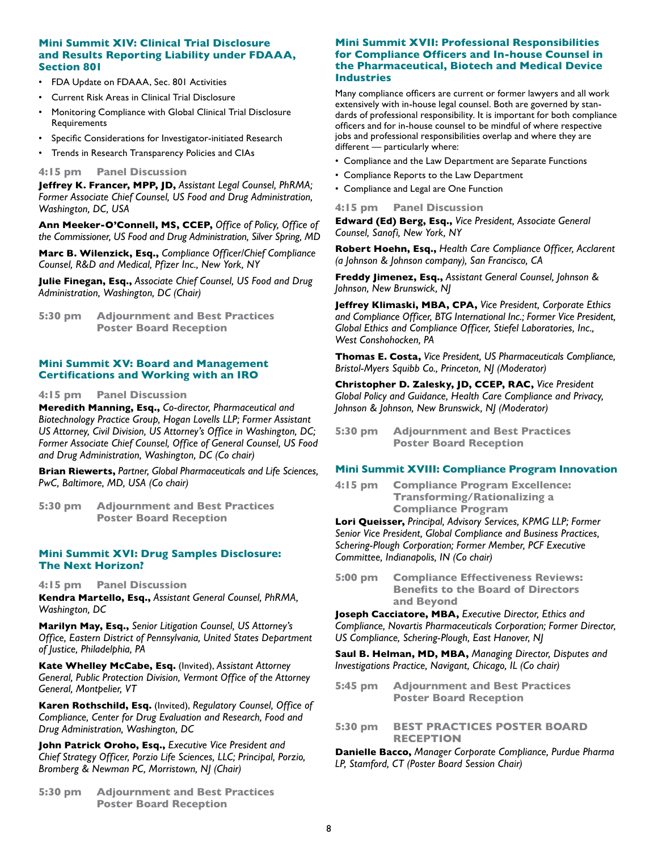#### **Mini Summit XIV: Clinical Trial Disclosure and Results Reporting Liability under FDAAA, Section 801**

- FDA Update on FDAAA, Sec. 801 Activities
- Current Risk Areas in Clinical Trial Disclosure
- Monitoring Compliance with Global Clinical Trial Disclosure Requirements
- Specific Considerations for Investigator-initiated Research
- Trends in Research Transparency Policies and CIAs

#### **4:15 pm Panel Discussion**

**Jeffrey K. Francer, MPP, JD,** *Assistant Legal Counsel, PhRMA; Former Associate Chief Counsel, US Food and Drug Administration, Washington, DC, USA*

**Ann Meeker-O'Connell, MS, CCEP,** *Office of Policy, Office of the Commissioner, US Food and Drug Administration, Silver Spring, MD*

**Marc B. Wilenzick, Esq.,** *Compliance Officer/Chief Compliance Counsel, R&D and Medical, Pfizer Inc., New York, NY*

**Julie Finegan, Esq.,** *Associate Chief Counsel, US Food and Drug Administration, Washington, DC (Chair)*

**5:30 pm Adjournment and Best Practices Poster Board Reception** 

#### **Mini Summit XV: Board and Management Certifications and Working with an IRO**

#### **4:15 pm Panel Discussion**

**Meredith Manning, Esq.,** *Co-director, Pharmaceutical and Biotechnology Practice Group, Hogan Lovells LLP; Former Assistant US Attorney, Civil Division, US Attorney's Office in Washington, DC; Former Associate Chief Counsel, Office of General Counsel, US Food and Drug Administration, Washington, DC (Co chair)*

**Brian Riewerts,** *Partner, Global Pharmaceuticals and Life Sciences, PwC, Baltimore, MD, USA (Co chair)*

**5:30 pm Adjournment and Best Practices Poster Board Reception** 

#### **Mini Summit XVI: Drug Samples Disclosure: The Next Horizon?**

**4:15 pm Panel Discussion**

**Kendra Martello, Esq.,** *Assistant General Counsel, PhRMA, Washington, DC*

**Marilyn May, Esq.,** *Senior Litigation Counsel, US Attorney's Office, Eastern District of Pennsylvania, United States Department of Justice, Philadelphia, PA*

**Kate Whelley McCabe, Esq.** (Invited), *Assistant Attorney General, Public Protection Division, Vermont Office of the Attorney General, Montpelier, VT*

**Karen Rothschild, Esq.** (Invited), *Regulatory Counsel, Office of Compliance, Center for Drug Evaluation and Research, Food and Drug Administration, Washington, DC*

**John Patrick Oroho, Esq.,** *Executive Vice President and Chief Strategy Officer, Porzio Life Sciences, LLC; Principal, Porzio, Bromberg & Newman PC, Morristown, NJ (Chair)*

**5:30 pm Adjournment and Best Practices Poster Board Reception** 

#### **Mini Summit XVII: Professional Responsibilities for Compliance Officers and In-house Counsel in the Pharmaceutical, Biotech and Medical Device Industries**

Many compliance officers are current or former lawyers and all work extensively with in-house legal counsel. Both are governed by standards of professional responsibility. It is important for both compliance officers and for in-house counsel to be mindful of where respective jobs and professional responsibilities overlap and where they are different — particularly where:

- Compliance and the Law Department are Separate Functions
- Compliance Reports to the Law Department
- Compliance and Legal are One Function

#### **4:15 pm Panel Discussion**

**Edward (Ed) Berg, Esq.,** *Vice President, Associate General Counsel, Sanofi, New York, NY*

**Robert Hoehn, Esq.,** *Health Care Compliance Officer, Acclarent (a Johnson & Johnson company), San Francisco, CA*

**Freddy Jimenez, Esq.,** *Assistant General Counsel, Johnson & Johnson, New Brunswick, NJ*

**Jeffrey Klimaski, MBA, CPA,** *Vice President, Corporate Ethics and Compliance Officer, BTG International Inc.; Former Vice President, Global Ethics and Compliance Officer, Stiefel Laboratories, Inc., West Conshohocken, PA*

**Thomas E. Costa,** *Vice President, US Pharmaceuticals Compliance, Bristol-Myers Squibb Co., Princeton, NJ (Moderator)*

**Christopher D. Zalesky, JD, CCEP, RAC,** *Vice President Global Policy and Guidance, Health Care Compliance and Privacy, Johnson & Johnson, New Brunswick, NJ (Moderator)*

**5:30 pm Adjournment and Best Practices Poster Board Reception**

#### **Mini Summit XVIII: Compliance Program Innovation**

**4:15 pm Compliance Program Excellence: Transforming/Rationalizing a Compliance Program**

**Lori Queisser,** *Principal, Advisory Services, KPMG LLP; Former Senior Vice President, Global Compliance and Business Practices, Schering-Plough Corporation; Former Member, PCF Executive Committee, Indianapolis, IN (Co chair)*

**5:00 pm Compliance Effectiveness Reviews: Benefits to the Board of Directors and Beyond**

**Joseph Cacciatore, MBA,** *Executive Director, Ethics and Compliance, Novartis Pharmaceuticals Corporation; Former Director, US Compliance, Schering-Plough, East Hanover, NJ* 

**Saul B. Helman, MD, MBA,** *Managing Director, Disputes and Investigations Practice, Navigant, Chicago, IL (Co chair)*

- **5:45 pm Adjournment and Best Practices Poster Board Reception**
- **5:30 pm BEST PRACTICES POSTER BOARD RECEPTION**

**Danielle Bacco,** *Manager Corporate Compliance, Purdue Pharma LP, Stamford, CT (Poster Board Session Chair)*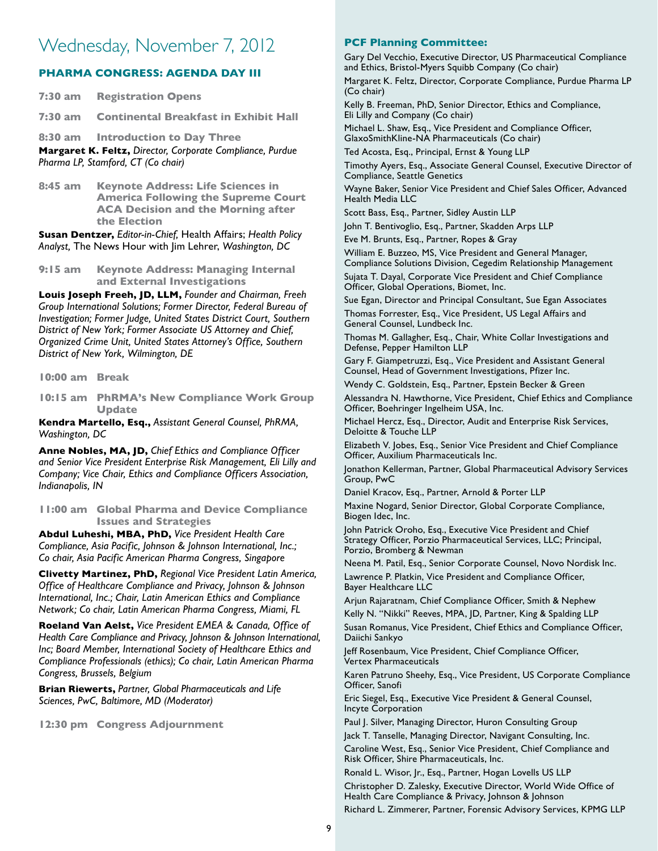## Wednesday, November 7, 2012

#### **PHARMA CONGRESS: AGENDA DAY III**

| <b>Margaret K. Feltz.</b> Director Corporate Compliance Purdue |                                               |  |
|----------------------------------------------------------------|-----------------------------------------------|--|
|                                                                | 8:30 am Introduction to Day Three             |  |
|                                                                | 7:30 am Continental Breakfast in Exhibit Hall |  |
| 7:30 am                                                        | <b>Registration Opens</b>                     |  |

**Margaret K. Feltz,** *Director, Corporate Compliance, Purdue Pharma LP, Stamford, CT (Co chair)* 

**8:45 am Keynote Address: Life Sciences in America Following the Supreme Court ACA Decision and the Morning after the Election**

**Susan Dentzer,** *Editor-in-Chief,* Health Affairs; *Health Policy Analyst,* The News Hour with Jim Lehrer, *Washington, DC*

**9:15 am Keynote Address: Managing Internal and External Investigations**

**Louis Joseph Freeh, JD, LLM,** *Founder and Chairman, Freeh Group International Solutions; Former Director, Federal Bureau of Investigation; Former Judge, United States District Court, Southern District of New York; Former Associate US Attorney and Chief, Organized Crime Unit, United States Attorney's Office, Southern District of New York, Wilmington, DE*

**10:00 am Break**

**10:15 am PhRMA's New Compliance Work Group Update**

**Kendra Martello, Esq.,** *Assistant General Counsel, PhRMA, Washington, DC*

**Anne Nobles, MA, JD,** *Chief Ethics and Compliance Officer and Senior Vice President Enterprise Risk Management, Eli Lilly and Company; Vice Chair, Ethics and Compliance Officers Association, Indianapolis, IN*

**11:00 am Global Pharma and Device Compliance Issues and Strategies**

**Abdul Luheshi, MBA, PhD,** *Vice President Health Care Compliance, Asia Pacific, Johnson & Johnson International, Inc.; Co chair, Asia Pacific American Pharma Congress, Singapore*

**Clivetty Martinez, PhD,** *Regional Vice President Latin America, Office of Healthcare Compliance and Privacy, Johnson & Johnson International, Inc.; Chair, Latin American Ethics and Compliance Network; Co chair, Latin American Pharma Congress, Miami, FL*

**Roeland Van Aelst,** *Vice President EMEA & Canada, Office of Health Care Compliance and Privacy, Johnson & Johnson International, Inc; Board Member, International Society of Healthcare Ethics and Compliance Professionals (ethics); Co chair, Latin American Pharma Congress, Brussels, Belgium*

**Brian Riewerts,** *Partner, Global Pharmaceuticals and Life Sciences, PwC, Baltimore, MD (Moderator)*

**12:30 pm Congress Adjournment**

#### **PCF Planning Committee:**

Gary Del Vecchio, Executive Director, US Pharmaceutical Compliance and Ethics, Bristol-Myers Squibb Company (Co chair)

Margaret K. Feltz, Director, Corporate Compliance, Purdue Pharma LP (Co chair)

Kelly B. Freeman, PhD, Senior Director, Ethics and Compliance, Eli Lilly and Company (Co chair)

Michael L. Shaw, Esq., Vice President and Compliance Officer, GlaxoSmithKline-NA Pharmaceuticals (Co chair)

Ted Acosta, Esq., Principal, Ernst & Young LLP

Timothy Ayers, Esq., Associate General Counsel, Executive Director of Compliance, Seattle Genetics

Wayne Baker, Senior Vice President and Chief Sales Officer, Advanced Health Media LLC

Scott Bass, Esq., Partner, Sidley Austin LLP

John T. Bentivoglio, Esq., Partner, Skadden Arps LLP

Eve M. Brunts, Esq., Partner, Ropes & Gray William E. Buzzeo, MS, Vice President and General Manager,

Compliance Solutions Division, Cegedim Relationship Management Sujata T. Dayal, Corporate Vice President and Chief Compliance Officer, Global Operations, Biomet, Inc.

Sue Egan, Director and Principal Consultant, Sue Egan Associates Thomas Forrester, Esq., Vice President, US Legal Affairs and General Counsel, Lundbeck Inc.

Thomas M. Gallagher, Esq., Chair, White Collar Investigations and Defense, Pepper Hamilton LLP

Gary F. Giampetruzzi, Esq., Vice President and Assistant General Counsel, Head of Government Investigations, Pfizer Inc.

Wendy C. Goldstein, Esq., Partner, Epstein Becker & Green

Alessandra N. Hawthorne, Vice President, Chief Ethics and Compliance Officer, Boehringer Ingelheim USA, Inc.

Michael Hercz, Esq., Director, Audit and Enterprise Risk Services, Deloitte & Touche LLP

Elizabeth V. Jobes, Esq., Senior Vice President and Chief Compliance Officer, Auxilium Pharmaceuticals Inc.

Jonathon Kellerman, Partner, Global Pharmaceutical Advisory Services Group, PwC

Daniel Kracov, Esq., Partner, Arnold & Porter LLP

Maxine Nogard, Senior Director, Global Corporate Compliance, Biogen Idec, Inc.

John Patrick Oroho, Esq., Executive Vice President and Chief Strategy Officer, Porzio Pharmaceutical Services, LLC; Principal, Porzio, Bromberg & Newman

Neena M. Patil, Esq., Senior Corporate Counsel, Novo Nordisk Inc. Lawrence P. Platkin, Vice President and Compliance Officer,

Bayer Healthcare LLC

Arjun Rajaratnam, Chief Compliance Officer, Smith & Nephew Kelly N. "Nikki" Reeves, MPA, JD, Partner, King & Spalding LLP

Susan Romanus, Vice President, Chief Ethics and Compliance Officer, Daiichi Sankyo

Jeff Rosenbaum, Vice President, Chief Compliance Officer, Vertex Pharmaceuticals

Karen Patruno Sheehy, Esq., Vice President, US Corporate Compliance Officer, Sanofi

Eric Siegel, Esq., Executive Vice President & General Counsel, Incyte Corporation

Paul J. Silver, Managing Director, Huron Consulting Group

Jack T. Tanselle, Managing Director, Navigant Consulting, Inc. Caroline West, Esq., Senior Vice President, Chief Compliance and Risk Officer, Shire Pharmaceuticals, Inc.

Ronald L. Wisor, Jr., Esq., Partner, Hogan Lovells US LLP Christopher D. Zalesky, Executive Director, World Wide Office of Health Care Compliance & Privacy, Johnson & Johnson Richard L. Zimmerer, Partner, Forensic Advisory Services, KPMG LLP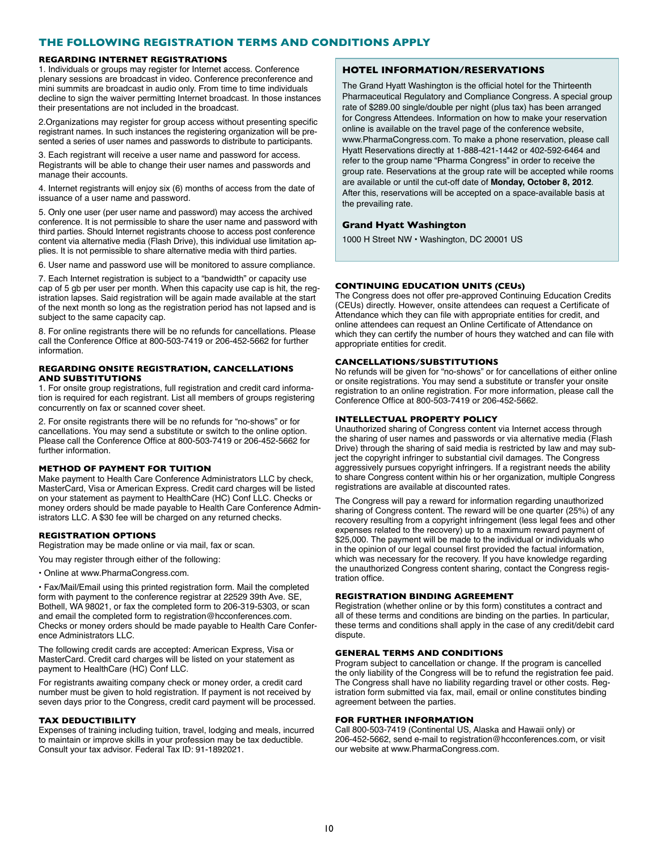#### **THE FOLLOWING REGISTRATION TERMS AND CONDITIONS APPLY**

#### **REGARDING INTERNET REGISTRATIONS**

1. Individuals or groups may register for Internet access. Conference plenary sessions are broadcast in video. Conference preconference and mini summits are broadcast in audio only. From time to time individuals decline to sign the waiver permitting Internet broadcast. In those instances their presentations are not included in the broadcast.

2.Organizations may register for group access without presenting specific registrant names. In such instances the registering organization will be presented a series of user names and passwords to distribute to participants.

3. Each registrant will receive a user name and password for access. Registrants will be able to change their user names and passwords and manage their accounts.

4. Internet registrants will enjoy six (6) months of access from the date of issuance of a user name and password.

5. Only one user (per user name and password) may access the archived conference. It is not permissible to share the user name and password with third parties. Should Internet registrants choose to access post conference content via alternative media (Flash Drive), this individual use limitation applies. It is not permissible to share alternative media with third parties.

6. User name and password use will be monitored to assure compliance.

7. Each Internet registration is subject to a "bandwidth" or capacity use cap of 5 gb per user per month. When this capacity use cap is hit, the registration lapses. Said registration will be again made available at the start of the next month so long as the registration period has not lapsed and is subject to the same capacity cap.

8. For online registrants there will be no refunds for cancellations. Please call the Conference Office at 800-503-7419 or 206-452-5662 for further information.

#### **REGARDING ONSITE REGISTRATION, CANCELLATIONS AND SUBSTITUTIONS**

1. For onsite group registrations, full registration and credit card information is required for each registrant. List all members of groups registering concurrently on fax or scanned cover sheet.

2. For onsite registrants there will be no refunds for "no-shows" or for cancellations. You may send a substitute or switch to the online option. Please call the Conference Office at 800-503-7419 or 206-452-5662 for further information.

#### **METHOD OF PAYMENT FOR TUITION**

Make payment to Health Care Conference Administrators LLC by check, MasterCard, Visa or American Express. Credit card charges will be listed on your statement as payment to HealthCare (HC) Conf LLC. Checks or money orders should be made payable to Health Care Conference Administrators LLC. A \$30 fee will be charged on any returned checks.

#### **REGISTRATION OPTIONS**

Registration may be made online or via mail, fax or scan.

You may register through either of the following:

• Online at www.PharmaCongress.com.

• Fax/Mail/Email using this printed registration form. Mail the completed form with payment to the conference registrar at 22529 39th Ave. SE, Bothell, WA 98021, or fax the completed form to 206-319-5303, or scan and email the completed form to registration@hcconferences.com. Checks or money orders should be made payable to Health Care Conference Administrators LLC.

The following credit cards are accepted: American Express, Visa or MasterCard. Credit card charges will be listed on your statement as payment to HealthCare (HC) Conf LLC.

For registrants awaiting company check or money order, a credit card number must be given to hold registration. If payment is not received by seven days prior to the Congress, credit card payment will be processed.

#### **TAX DEDUCTIBILITY**

Expenses of training including tuition, travel, lodging and meals, incurred to maintain or improve skills in your profession may be tax deductible. Consult your tax advisor. Federal Tax ID: 91-1892021.

#### **HOTEL INFORMATION/RESERVATIONS**

The Grand Hyatt Washington is the official hotel for the Thirteenth Pharmaceutical Regulatory and Compliance Congress. A special group rate of \$289.00 single/double per night (plus tax) has been arranged for Congress Attendees. Information on how to make your reservation online is available on the travel page of the conference website, www.PharmaCongress.com. To make a phone reservation, please call Hyatt Reservations directly at 1-888-421-1442 or 402-592-6464 and refer to the group name "Pharma Congress" in order to receive the group rate. Reservations at the group rate will be accepted while rooms are available or until the cut-off date of **Monday, October 8, 2012**. After this, reservations will be accepted on a space-available basis at the prevailing rate.

#### **Grand Hyatt Washington**

1000 H Street NW • Washington, DC 20001 US

#### **CONTINUING EDUCATION UNITS (CEUs)**

The Congress does not offer pre-approved Continuing Education Credits (CEUs) directly. However, onsite attendees can request a Certificate of Attendance which they can file with appropriate entities for credit, and online attendees can request an Online Certificate of Attendance on which they can certify the number of hours they watched and can file with appropriate entities for credit.

#### **CANCELLATIONS/SUBSTITUTIONS**

No refunds will be given for "no-shows" or for cancellations of either online or onsite registrations. You may send a substitute or transfer your onsite registration to an online registration. For more information, please call the Conference Office at 800-503-7419 or 206-452-5662.

#### **INTELLECTUAL PROPERTY POLICY**

Unauthorized sharing of Congress content via Internet access through the sharing of user names and passwords or via alternative media (Flash Drive) through the sharing of said media is restricted by law and may subject the copyright infringer to substantial civil damages. The Congress aggressively pursues copyright infringers. If a registrant needs the ability to share Congress content within his or her organization, multiple Congress registrations are available at discounted rates.

The Congress will pay a reward for information regarding unauthorized sharing of Congress content. The reward will be one quarter (25%) of any recovery resulting from a copyright infringement (less legal fees and other expenses related to the recovery) up to a maximum reward payment of \$25,000. The payment will be made to the individual or individuals who in the opinion of our legal counsel first provided the factual information, which was necessary for the recovery. If you have knowledge regarding the unauthorized Congress content sharing, contact the Congress registration office.

#### **REGISTRATION BINDING AGREEMENT**

Registration (whether online or by this form) constitutes a contract and all of these terms and conditions are binding on the parties. In particular, these terms and conditions shall apply in the case of any credit/debit card dispute.

#### **GENERAL TERMS AND CONDITIONS**

Program subject to cancellation or change. If the program is cancelled the only liability of the Congress will be to refund the registration fee paid. The Congress shall have no liability regarding travel or other costs. Registration form submitted via fax, mail, email or online constitutes binding agreement between the parties.

#### **FOR FURTHER INFORMATION**

Call 800-503-7419 (Continental US, Alaska and Hawaii only) or 206-452-5662, send e-mail to registration@hcconferences.com, or visit our website at www.PharmaCongress.com.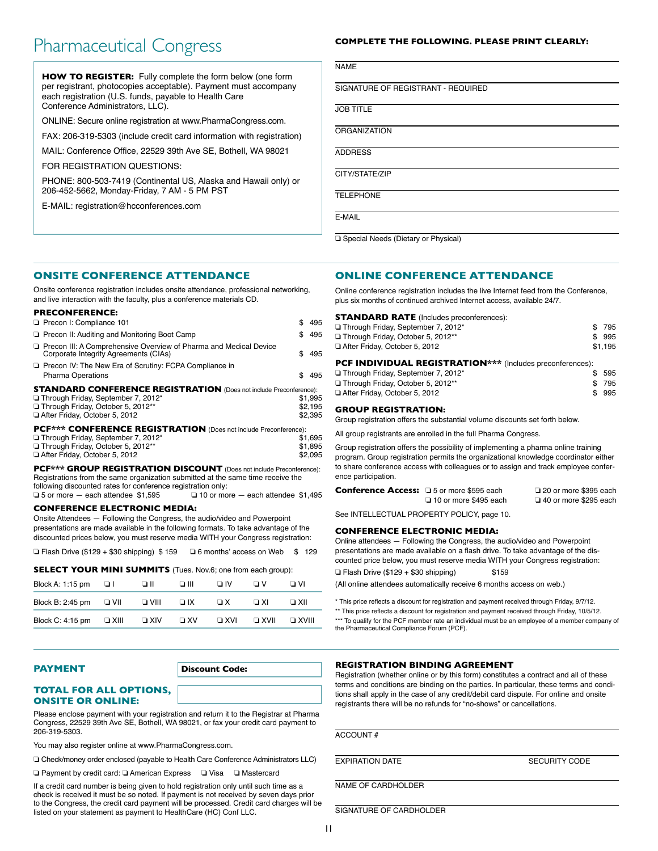## Pharmaceutical Congress **COMPLETE THE FOLLOWING. PLEASE PRINT CLEARLY:**

**HOW TO REGISTER:** Fully complete the form below (one form per registrant, photocopies acceptable). Payment must accompany each registration (U.S. funds, payable to Health Care Conference Administrators, LLC).

ONLINE: Secure online registration at www.PharmaCongress.com.

FAX: 206-319-5303 (include credit card information with registration)

MAIL: Conference Office, 22529 39th Ave SE, Bothell, WA 98021

FOR REGISTRATION QUESTIONS:

PHONE: 800-503-7419 (Continental US, Alaska and Hawaii only) or 206-452-5662, Monday-Friday, 7 AM - 5 PM PST

E-MAIL: registration@hcconferences.com

**NAME** 

SIGNATURE OF REGISTRANT - REQUIRED

JOB TITLE

**ORGANIZATION** 

**ADDRESS** 

CITY/STATE/ZIP

**TELEPHONE** 

E-MAIL

❏ Special Needs (Dietary or Physical)

#### **ONSITE CONFERENCE ATTENDANCE**

Onsite conference registration includes onsite attendance, professional networking, and live interaction with the faculty, plus a conference materials CD.

#### **PRECONFERENCE:**

|                                                                           | 495     |
|---------------------------------------------------------------------------|---------|
| \$                                                                        | 495     |
| \$.                                                                       | 495     |
| £.                                                                        | 495     |
| <b>STANDARD CONFERENCE REGISTRATION</b> (Does not include Preconference): |         |
|                                                                           | \$1,995 |
|                                                                           | \$2,195 |
|                                                                           | \$2,395 |
| PCF*** CONFERENCE REGISTRATION (Does not include Preconference):          |         |
|                                                                           | \$1.695 |
|                                                                           |         |

|                                   | .       |
|-----------------------------------|---------|
| Through Friday, October 5, 2012** | \$1.895 |
| After Friday, October 5, 2012     | \$2.095 |
|                                   |         |

**PCF\*\*\* GROUP REGISTRATION DISCOUNT** (Does not include Preconference): Registrations from the same organization submitted at the same time receive the following discounted rates for conference registration only: ❏ 5 or more — each attendee \$1,595 ❏ 10 or more — each attendee \$1,495

**CONFERENCE ELECTRONIC MEDIA:**

Onsite Attendees — Following the Congress, the audio/video and Powerpoint presentations are made available in the following formats. To take advantage of the discounted prices below, you must reserve media WITH your Congress registration:

❏ Flash Drive (\$129 + \$30 shipping) \$ 159 ❏ 6 months' access on Web \$ 129

#### **SELECT YOUR MINI SUMMITS** (Tues. Nov.6; one from each group):

| Block A: 1:15 pm | оı          | וו ב        | ווו ם     | □ IV       | ΠV          | וע ב         |
|------------------|-------------|-------------|-----------|------------|-------------|--------------|
| Block B: 2:45 pm | O VII       | $\Box$ VIII | $\Box$ IX | $\Box$ X   | ∩ XI        | ⊟ XII        |
| Block C: 4:15 pm | $\Box$ XIII | $\Box$ XIV  | $\Box$ XV | $\Box$ XVI | $\Box$ XVII | $\Box$ XVIII |

#### **TOTAL FOR ALL OPTIONS, ONSITE OR ONLINE:**

Please enclose payment with your registration and return it to the Registrar at Pharma Congress, 22529 39th Ave SE, Bothell, WA 98021, or fax your credit card payment to 206-319-5303.

You may also register online at www.PharmaCongress.com.

❏ Check/money order enclosed (payable to Health Care Conference Administrators LLC)

❏ Payment by credit card: ❏ American Express ❏ Visa ❏ Mastercard

If a credit card number is being given to hold registration only until such time as a check is received it must be so noted. If payment is not received by seven days prior to the Congress, the credit card payment will be processed. Credit card charges will be listed on your statement as payment to HealthCare (HC) Conf LLC.

#### **ONLINE CONFERENCE ATTENDANCE**

Online conference registration includes the live Internet feed from the Conference, plus six months of continued archived Internet access, available 24/7.

| <b>STANDARD RATE</b> (Includes preconferences):                                                                |           |            |  |  |
|----------------------------------------------------------------------------------------------------------------|-----------|------------|--|--|
| Through Friday, September 7, 2012*                                                                             | S.        | 795        |  |  |
| Through Friday, October 5, 2012**                                                                              | \$        | 995        |  |  |
| After Friday, October 5, 2012                                                                                  |           | \$1,195    |  |  |
| <b>PCF INDIVIDUAL REGISTRATION</b> *** (Includes preconferences):<br>Through Friday, September 7, 2012*<br>595 |           |            |  |  |
| Through Friday, October 5, 2012**<br>After Friday, October 5, 2012                                             | \$<br>\$. | 795<br>995 |  |  |
|                                                                                                                |           |            |  |  |

#### **GROUP REGISTRATION:**

Group registration offers the substantial volume discounts set forth below.

All group registrants are enrolled in the full Pharma Congress.

Group registration offers the possibility of implementing a pharma online training program. Group registration permits the organizational knowledge coordinator either to share conference access with colleagues or to assign and track employee conference participation.

| <b>Conference Access:</b> 45 or more \$595 each |                              | 20 or more \$395 each        |
|-------------------------------------------------|------------------------------|------------------------------|
|                                                 | $\Box$ 10 or more \$495 each | $\Box$ 40 or more \$295 each |

See INTELLECTUAL PROPERTY POLICY, page 10.

#### **CONFERENCE ELECTRONIC MEDIA:**

Online attendees — Following the Congress, the audio/video and Powerpoint presentations are made available on a flash drive. To take advantage of the discounted price below, you must reserve media WITH your Congress registration:  $\Box$  Flash Drive (\$129 + \$30 shipping) \$159

(All online attendees automatically receive 6 months access on web.)

\* This price reflects a discount for registration and payment received through Friday, 9/7/12. \*\* This price reflects a discount for registration and payment received through Friday, 10/5/12. \*\*\* To qualify for the PCF member rate an individual must be an employee of a member company of the Pharmaceutical Compliance Forum (PCF).

#### **REGISTRATION BINDING AGREEMENT**

Registration (whether online or by this form) constitutes a contract and all of these terms and conditions are binding on the parties. In particular, these terms and conditions shall apply in the case of any credit/debit card dispute. For online and onsite registrants there will be no refunds for "no-shows" or cancellations.

ACCOUNT #

EXPIRATION DATE SECURITY CODE

NAME OF CARDHOLDER

SIGNATURE OF CARDHOLDER

**PAYMENT** Discount Code: